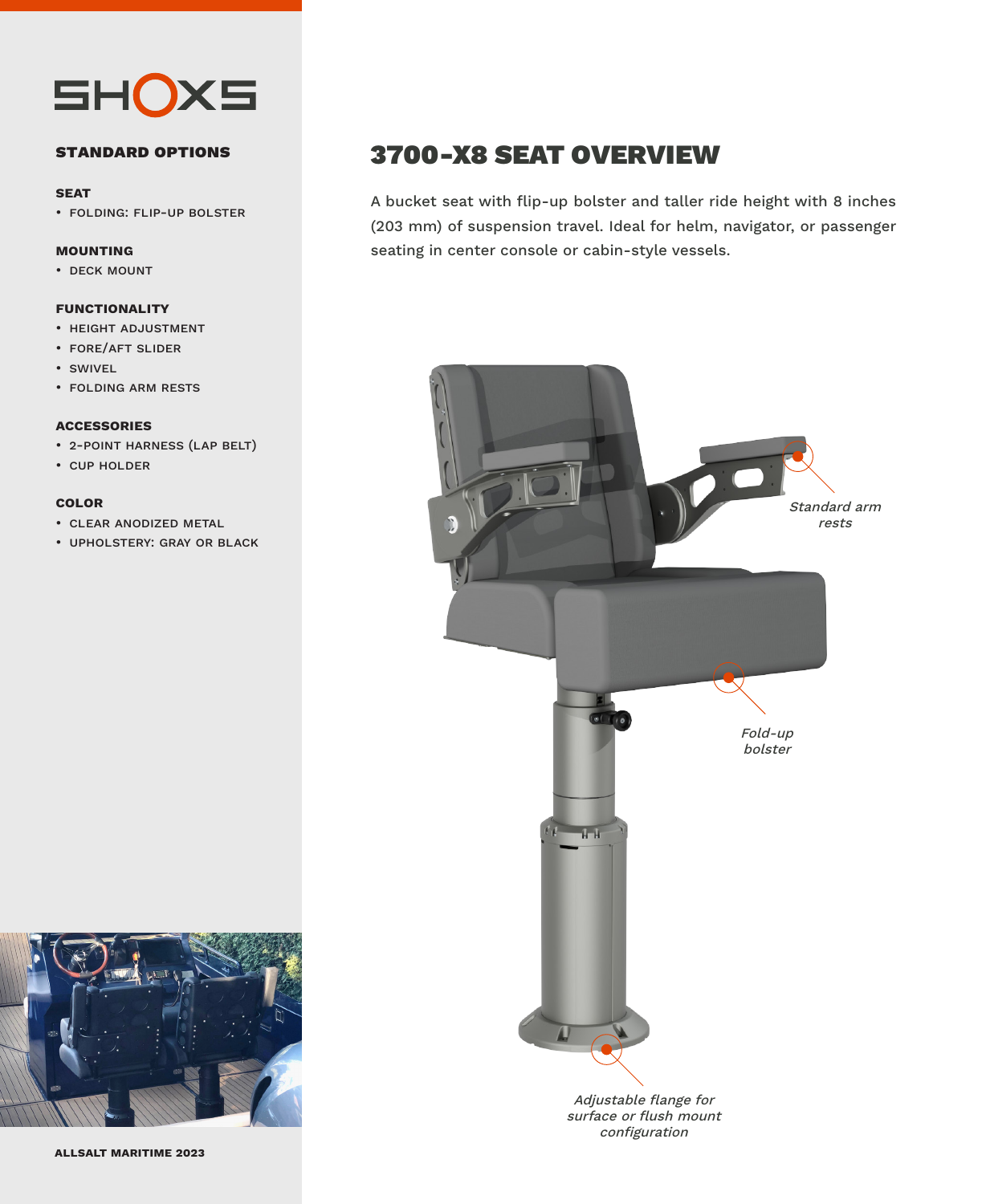

### **standard options**

#### **seat**

• folding: flip-up bolster

### **mounting**

• deck mount

### **functionality**

- height adjustment
- fore/aft slider
- swivel
- folding arm rests

#### **accessories**

- 2-point harness (lap belt)
- cup holder

### **color**

- clear anodized metal
- upholstery: gray or black

### 3700-X8 SEAT OVERVIEW

A bucket seat with flip-up bolster and taller ride height with 8 inches (203 mm) of suspension travel. Ideal for helm, navigator, or passenger seating in center console or cabin-style vessels.



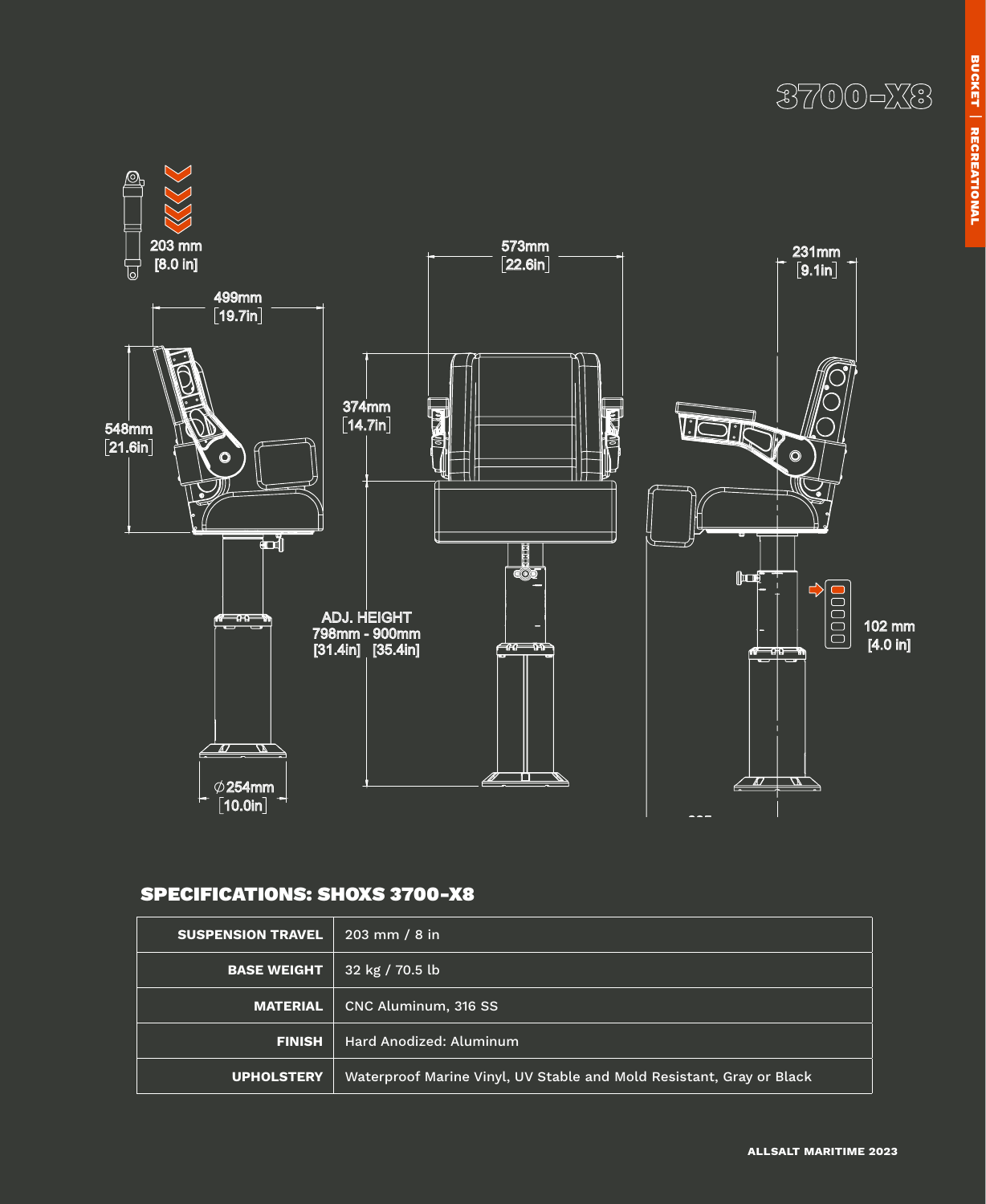



### SPECIFICATIONS: SHOXS 3700-X8

| <b>SUSPENSION TRAVEL</b> | $203 \, \text{mm}$ / 8 in                                            |  |
|--------------------------|----------------------------------------------------------------------|--|
| <b>BASE WEIGHT</b>       | 32 kg / 70.5 lb                                                      |  |
| <b>MATERIAL</b>          | CNC Aluminum, 316 SS                                                 |  |
| <b>FINISH</b>            | Hard Anodized: Aluminum                                              |  |
| <b>UPHOLSTERY</b>        | Waterproof Marine Vinyl, UV Stable and Mold Resistant, Gray or Black |  |